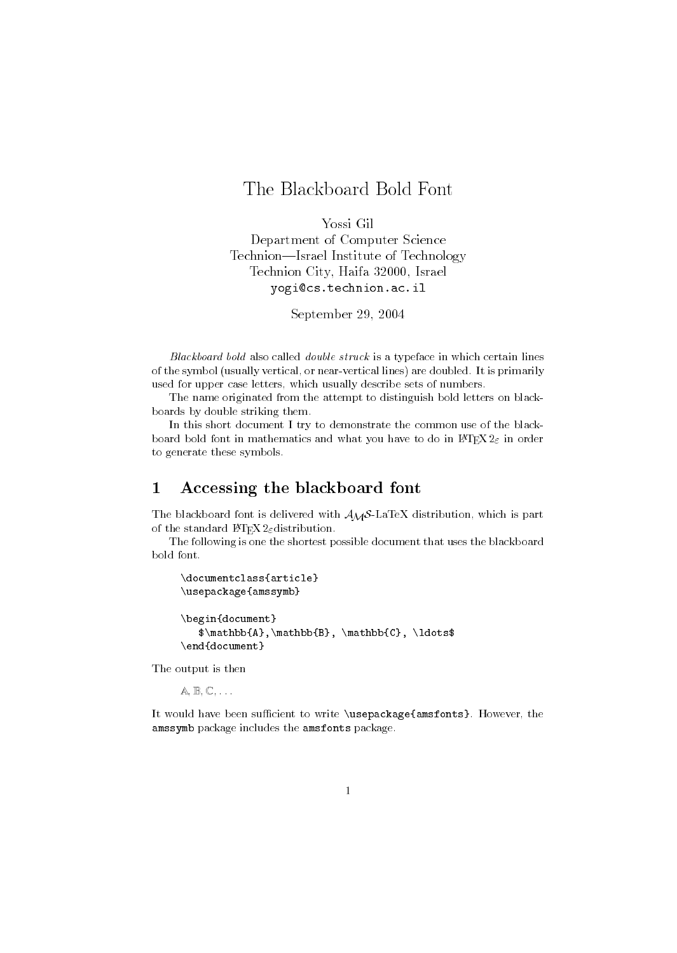# The Blackboard Bold Font

Yossi GilDepartment of Computer ScienceTechnion-Israel Institute of Technology Technion City, Haifa 32000, Israelyogi@cs.technion.ac.il

September 29, 2004

Blackboard bold also called double struck is a typeface in which certain lines of the symbol (usually vertical, or near-vertical lines) are doubled. It is primarily used for upper case letters, which usually describe sets of numbers.

The name originated from the attempt to distinguish bold letters on blackboards by double striking them.

In this short document I try to demonstrate the common use of the blackboard bold font in mathematics and what you have to do in  $\mathbb{M} \mathbb{R} X2_{\varepsilon}$  in order to generate these symbols.

### 1 Accessing the blackboard font

The blackboard font is delivered with  $A_{\mathcal{M}}\mathcal{S}\text{-}\text{LaTeX}$  distribution, which is part of the standard L<sup>AT</sup>EX 2 $_{\varepsilon}$  distribution.

The following is one the shortest possible document that uses the blackboard bold font.

```
\documentclass{article}
\usepackage{amssymb}
\begin{document}
   $\mathbb{A},\mathbb{B}, \mathbb{C}, \ldots$
\end{document}
```
The output is then

 $A, B, C, \ldots$ 

It would have been sufficient to write \usepackage{amsfonts}. However, the amssymb package includes the amsfonts package.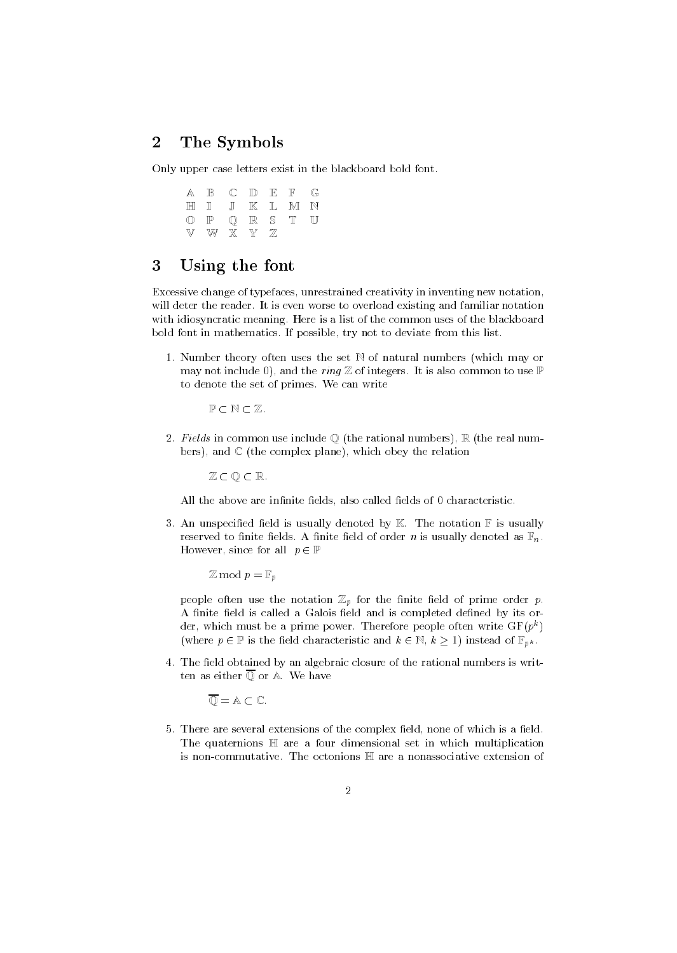#### $\overline{2}$ The Symbols

Only upper case letters exist in the blackboard bold font.

| A B C D E F G  |  |  |  |
|----------------|--|--|--|
| HI I JI KELMIN |  |  |  |
| O P Q R S T U  |  |  |  |
| V W X Y Z      |  |  |  |

## 3 Using the font

Excessive change of typefaces, unrestrained creativity in inventing new notation, will deter the reader. It is even worse to overload existing and familiar notation with idiosyncratic meaning. Here is a list of the common uses of the blackboard bold font in mathematics. If possible, try not to deviate from this list.

1. Number theory often uses the set  $\mathbb N$  of natural numbers (which may or may not include 0), and the *ring*  $\mathbb Z$  of integers. It is also common to use  $\mathbb P$ to denote the set of primes. We can write

 $P \subset N \subset \mathbb{Z}$ .

2. Fields in common use include  $\mathbb O$  (the rational numbers),  $\mathbb R$  (the real numbers), and  $\mathbb C$  (the complex plane), which obey the relation

 $\mathbb{Z} \subset \mathbb{O} \subset \mathbb{R}$ .

All the above are infinite fields, also called fields of 0 characteristic.

3. An unspecified field is usually denoted by  $\mathbb K$ . The notation  $\mathbb F$  is usually reserved to finite fields. A finite field of order *n* is usually denoted as  $\mathbb{F}_n$ . However, since for all  $p \in \mathbb{P}$ 

 $\mathbb Z$  mod  $p = \mathbb F_p$ 

people often use the notation  $\mathbb{Z}_p$  for the finite field of prime order p. A finite field is called a Galois field and is completed defined by its order, which must be a prime power. Therefore people often write  $\mathrm{Gr}(p^*)$ (where  $p \in \mathbb{P}$  is the field characteristic and  $k \in \mathbb{N}$ ,  $k \geq 1$ ) instead of  $\mathbb{F}_{p^k}$ .

4. The field obtained by an algebraic closure of the rational numbers is written as either  $\overline{\mathbb{O}}$  or A. We have

 $\overline{\mathbb{O}} = \mathbb{A} \subset \mathbb{C}$ .

5. There are several extensions of the complex field, none of which is a field. The quaternions  $\mathbb H$  are a four dimensional set in which multiplication is non-commutative. The octonions  $\mathbb H$  are a nonassociative extension of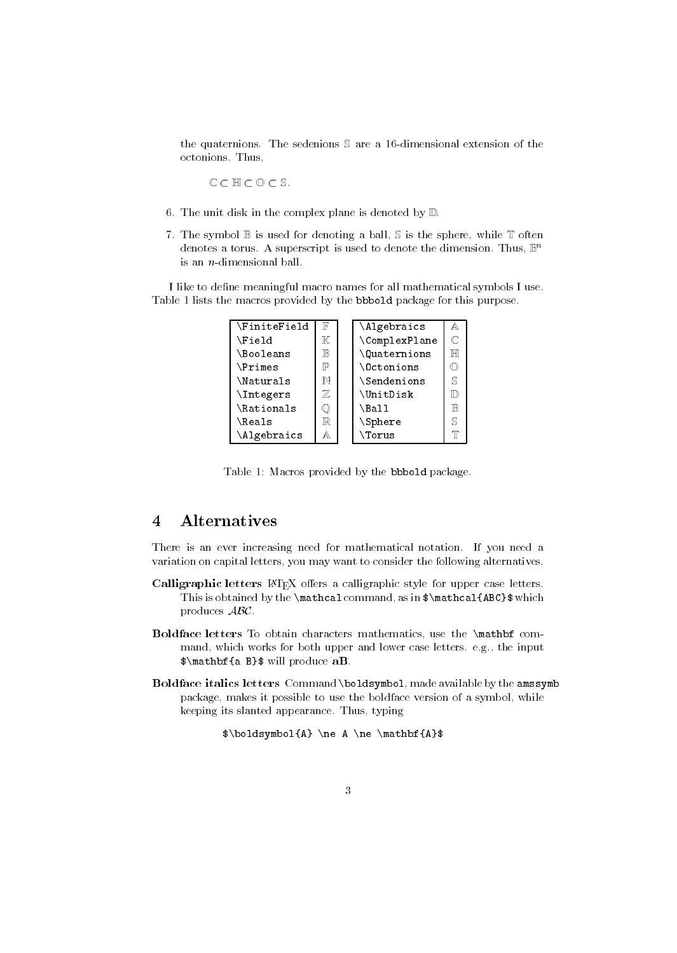the quaternions. The sedenions  $S$  are a 16-dimensional extension of the octonions. Thus,

 $C \subset \mathbb{H} \subset \mathbb{O} \subset \mathbb{S}$ .

- 6. The unit disk in the complex plane is denoted by  $D$ .
- 7. The symbol  $\mathbb B$  is used for denoting a ball,  $\mathbb S$  is the sphere, while  $\mathbb T$  often denotes a torus. A superscript is used to denote the dimension. Thus,  $\mathbb{B}^n$ is an n-dimensional ball.

I like to dene meaningful macro names for all mathematical symbols I use. Table 1 lists the macros provided by the bbbold package for this purpose.

| <b>\FiniteField</b> | $\mathbb F$ | \Algebraics        | A   |  |
|---------------------|-------------|--------------------|-----|--|
| <b>\Field</b>       | K           | \ComplexPlane      | C   |  |
| <b>\Booleans</b>    | TB.         | <b>Quaternions</b> | TΗT |  |
| <b>\Primes</b>      | P           | <b>\Octonions</b>  |     |  |
| \Naturals           | N           | <b>\Sendenions</b> | S   |  |
| <b>\Integers</b>    | 77,         | \UnitDisk          | ID) |  |
| \Rationals          |             | \Ball              | TB. |  |
| <b>\Reals</b>       | $\mathbb R$ | <b>\Sphere</b>     | S   |  |
| \Algebraics         | A           | \Torus             | T   |  |

Table 1: Macros provided by the bbbold package.

#### **Alternatives**  $\overline{4}$

There is an ever increasing need for mathematical notation. If you need a variation on capital letters, you may want to consider the following alternatives.

- Calligraphic letters LATEX offers a calligraphic style for upper case letters. This is obtained by the  $\mathcal{L}$  command, as in  $\mathcal{L}$  athcal{ABC}\$ which produces ABC.
- Boldface letters To obtain characters mathematics, use the \mathbf com mand, which works for both upper and lower case letters. e.g., the input \$\mathbf{a B}\$ will produce aB.
- Boldface italics letters Command \boldsymbol, made available by the amssymb package, makes it possible to use the boldface version of a symbol, while keeping its slanted appearance. Thus, typing

\$\boldsymbol{A} \ne A \ne \mathbf{A}\$